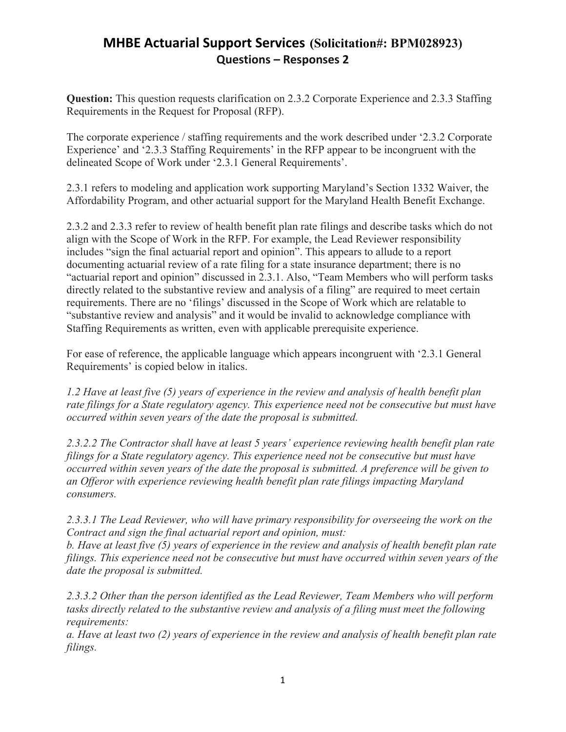## **MHBE Actuarial Support Services (Solicitation#: BPM028923) Questions – Responses 2**

**Question:** This question requests clarification on 2.3.2 Corporate Experience and 2.3.3 Staffing Requirements in the Request for Proposal (RFP).

The corporate experience / staffing requirements and the work described under '2.3.2 Corporate Experience' and '2.3.3 Staffing Requirements' in the RFP appear to be incongruent with the delineated Scope of Work under '2.3.1 General Requirements'.

2.3.1 refers to modeling and application work supporting Maryland's Section 1332 Waiver, the Affordability Program, and other actuarial support for the Maryland Health Benefit Exchange.

2.3.2 and 2.3.3 refer to review of health benefit plan rate filings and describe tasks which do not align with the Scope of Work in the RFP. For example, the Lead Reviewer responsibility includes "sign the final actuarial report and opinion". This appears to allude to a report documenting actuarial review of a rate filing for a state insurance department; there is no "actuarial report and opinion" discussed in 2.3.1. Also, "Team Members who will perform tasks directly related to the substantive review and analysis of a filing" are required to meet certain requirements. There are no 'filings' discussed in the Scope of Work which are relatable to "substantive review and analysis" and it would be invalid to acknowledge compliance with Staffing Requirements as written, even with applicable prerequisite experience.

For ease of reference, the applicable language which appears incongruent with '2.3.1 General Requirements' is copied below in italics.

*1.2 Have at least five (5) years of experience in the review and analysis of health benefit plan rate filings for a State regulatory agency. This experience need not be consecutive but must have occurred within seven years of the date the proposal is submitted.*

*2.3.2.2 The Contractor shall have at least 5 years' experience reviewing health benefit plan rate filings for a State regulatory agency. This experience need not be consecutive but must have occurred within seven years of the date the proposal is submitted. A preference will be given to an Offeror with experience reviewing health benefit plan rate filings impacting Maryland consumers.*

*2.3.3.1 The Lead Reviewer, who will have primary responsibility for overseeing the work on the Contract and sign the final actuarial report and opinion, must:*

*b. Have at least five (5) years of experience in the review and analysis of health benefit plan rate filings. This experience need not be consecutive but must have occurred within seven years of the date the proposal is submitted.*

*2.3.3.2 Other than the person identified as the Lead Reviewer, Team Members who will perform tasks directly related to the substantive review and analysis of a filing must meet the following requirements:*

*a. Have at least two (2) years of experience in the review and analysis of health benefit plan rate filings.*